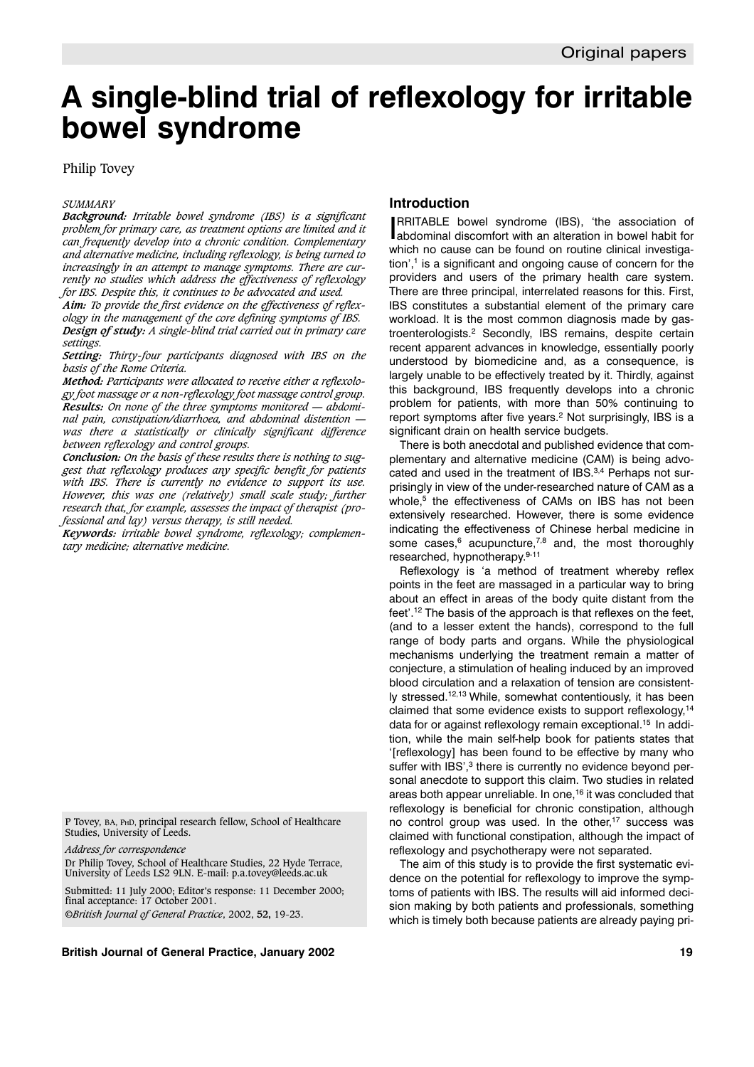# **A single-blind trial of reflexology for irritable bowel syndrome**

# Philip Tovey

#### *SUMMARY*

*Background: Irritable bowel syndrome (IBS) is a significant problem for primary care, as treatment options are limited and it can frequently develop into a chronic condition. Complementary and alternative medicine, including reflexology, is being turned to increasingly in an attempt to manage symptoms. There are currently no studies which address the effectiveness of reflexology for IBS. Despite this, it continues to be advocated and used.*

*Aim: To provide the first evidence on the effectiveness of reflexology in the management of the core defining symptoms of IBS. Design of study: A single-blind trial carried out in primary care settings.*

*Setting: Thirty-four participants diagnosed with IBS on the basis of the Rome Criteria.*

*Method: Participants were allocated to receive either a reflexology foot massage or a non-reflexology foot massage control group. Results: On none of the three symptoms monitored — abdominal pain, constipation/diarrhoea, and abdominal distention was there a statistically or clinically significant difference between reflexology and control groups.*

*Conclusion: On the basis of these results there is nothing to suggest that reflexology produces any specific benefit for patients with IBS. There is currently no evidence to support its use. However, this was one (relatively) small scale study; further research that, for example, assesses the impact of therapist (professional and lay) versus therapy, is still needed.*

*Keywords: irritable bowel syndrome, reflexology; complementary medicine; alternative medicine.*

P Tovey, BA, PHD, principal research fellow, School of Healthcare Studies, University of Leeds.

*Address for correspondence*

Dr Philip Tovey, School of Healthcare Studies, 22 Hyde Terrace, University of Leeds LS2 9LN. E-mail: p.a.tovey@leeds.ac.uk

Submitted: 11 July 2000; Editor's response: 11 December 2000; final acceptance: 17 October 2001. ©*British Journal of General Practice*, 2002, **52,** 19-23.

**British Journal of General Practice, January 2002 19**

# **Introduction**

I abdominal discomfort with an alteration in bowel habit for RRITABLE bowel syndrome (IBS), 'the association of which no cause can be found on routine clinical investigation',1 is a significant and ongoing cause of concern for the providers and users of the primary health care system. There are three principal, interrelated reasons for this. First, IBS constitutes a substantial element of the primary care workload. It is the most common diagnosis made by gastroenterologists.2 Secondly, IBS remains, despite certain recent apparent advances in knowledge, essentially poorly understood by biomedicine and, as a consequence, is largely unable to be effectively treated by it. Thirdly, against this background, IBS frequently develops into a chronic problem for patients, with more than 50% continuing to report symptoms after five years.<sup>2</sup> Not surprisingly, IBS is a significant drain on health service budgets.

There is both anecdotal and published evidence that complementary and alternative medicine (CAM) is being advocated and used in the treatment of IBS.<sup>3,4</sup> Perhaps not surprisingly in view of the under-researched nature of CAM as a whole,<sup>5</sup> the effectiveness of CAMs on IBS has not been extensively researched. However, there is some evidence indicating the effectiveness of Chinese herbal medicine in some cases, $6$  acupuncture, $7,8$  and, the most thoroughly researched, hypnotherapy.9-11

Reflexology is 'a method of treatment whereby reflex points in the feet are massaged in a particular way to bring about an effect in areas of the body quite distant from the feet'.12 The basis of the approach is that reflexes on the feet, (and to a lesser extent the hands), correspond to the full range of body parts and organs. While the physiological mechanisms underlying the treatment remain a matter of conjecture, a stimulation of healing induced by an improved blood circulation and a relaxation of tension are consistently stressed.12,13 While, somewhat contentiously, it has been claimed that some evidence exists to support reflexology,14 data for or against reflexology remain exceptional.<sup>15</sup> In addition, while the main self-help book for patients states that '[reflexology] has been found to be effective by many who suffer with IBS',<sup>3</sup> there is currently no evidence beyond personal anecdote to support this claim. Two studies in related areas both appear unreliable. In one,16 it was concluded that reflexology is beneficial for chronic constipation, although no control group was used. In the other,<sup>17</sup> success was claimed with functional constipation, although the impact of reflexology and psychotherapy were not separated.

The aim of this study is to provide the first systematic evidence on the potential for reflexology to improve the symptoms of patients with IBS. The results will aid informed decision making by both patients and professionals, something which is timely both because patients are already paying pri-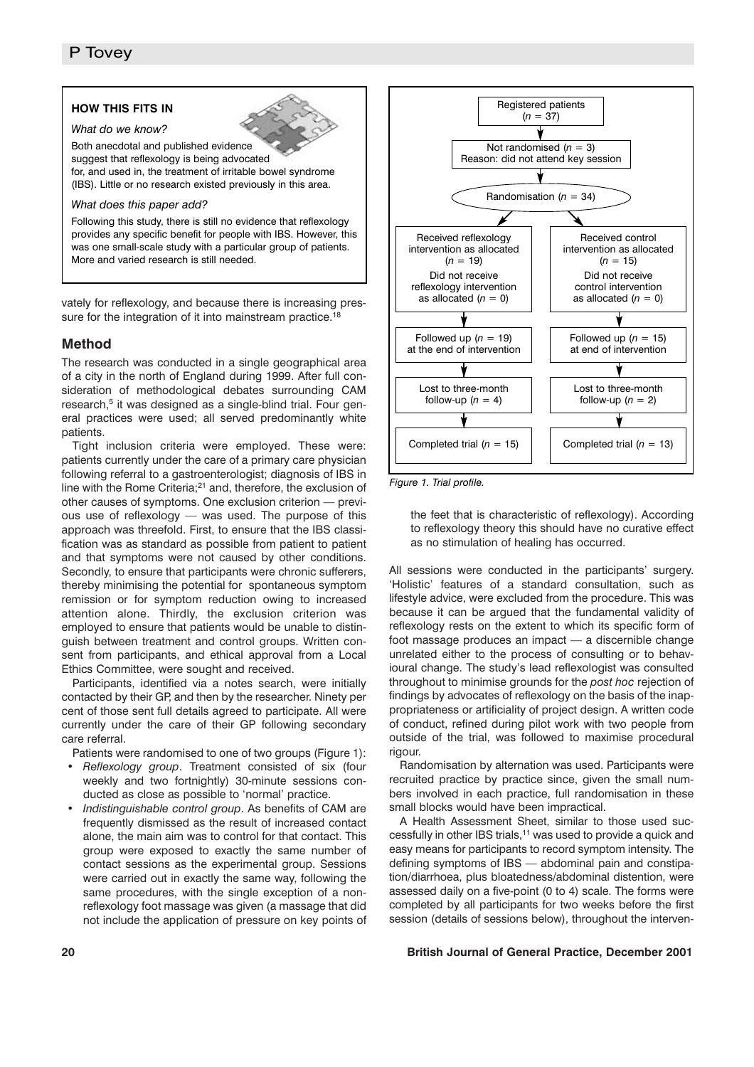## **HOW THIS FITS IN**

*What do we know?*

Both anecdotal and published evidence suggest that reflexology is being advocated for, and used in, the treatment of irritable bowel syndrome (IBS). Little or no research existed previously in this area.

#### *What does this paper add?*

Following this study, there is still no evidence that reflexology provides any specific benefit for people with IBS. However, this was one small-scale study with a particular group of patients. More and varied research is still needed.

vately for reflexology, and because there is increasing pressure for the integration of it into mainstream practice.<sup>18</sup>

## **Method**

The research was conducted in a single geographical area of a city in the north of England during 1999. After full consideration of methodological debates surrounding CAM research,<sup>5</sup> it was designed as a single-blind trial. Four general practices were used; all served predominantly white patients.

Tight inclusion criteria were employed. These were: patients currently under the care of a primary care physician following referral to a gastroenterologist; diagnosis of IBS in line with the Rome Criteria;<sup>21</sup> and, therefore, the exclusion of other causes of symptoms. One exclusion criterion — previous use of reflexology — was used. The purpose of this approach was threefold. First, to ensure that the IBS classification was as standard as possible from patient to patient and that symptoms were not caused by other conditions. Secondly, to ensure that participants were chronic sufferers, thereby minimising the potential for spontaneous symptom remission or for symptom reduction owing to increased attention alone. Thirdly, the exclusion criterion was employed to ensure that patients would be unable to distinguish between treatment and control groups. Written consent from participants, and ethical approval from a Local Ethics Committee, were sought and received.

Participants, identified via a notes search, were initially contacted by their GP, and then by the researcher. Ninety per cent of those sent full details agreed to participate. All were currently under the care of their GP following secondary care referral.

Patients were randomised to one of two groups (Figure 1):

- *Reflexology group*. Treatment consisted of six (four weekly and two fortnightly) 30-minute sessions conducted as close as possible to 'normal' practice.
- *Indistinguishable control group*. As benefits of CAM are frequently dismissed as the result of increased contact alone, the main aim was to control for that contact. This group were exposed to exactly the same number of contact sessions as the experimental group. Sessions were carried out in exactly the same way, following the same procedures, with the single exception of a nonreflexology foot massage was given (a massage that did not include the application of pressure on key points of



*Figure 1. Trial profile.*

the feet that is characteristic of reflexology). According to reflexology theory this should have no curative effect as no stimulation of healing has occurred.

All sessions were conducted in the participants' surgery. 'Holistic' features of a standard consultation, such as lifestyle advice, were excluded from the procedure. This was because it can be argued that the fundamental validity of reflexology rests on the extent to which its specific form of foot massage produces an impact — a discernible change unrelated either to the process of consulting or to behavioural change. The study's lead reflexologist was consulted throughout to minimise grounds for the *post hoc* rejection of findings by advocates of reflexology on the basis of the inappropriateness or artificiality of project design. A written code of conduct, refined during pilot work with two people from outside of the trial, was followed to maximise procedural rigour.

Randomisation by alternation was used. Participants were recruited practice by practice since, given the small numbers involved in each practice, full randomisation in these small blocks would have been impractical.

A Health Assessment Sheet, similar to those used successfully in other IBS trials,<sup>11</sup> was used to provide a quick and easy means for participants to record symptom intensity. The defining symptoms of IBS — abdominal pain and constipation/diarrhoea, plus bloatedness/abdominal distention, were assessed daily on a five-point (0 to 4) scale. The forms were completed by all participants for two weeks before the first session (details of sessions below), throughout the interven-

### **20 British Journal of General Practice, December 2001**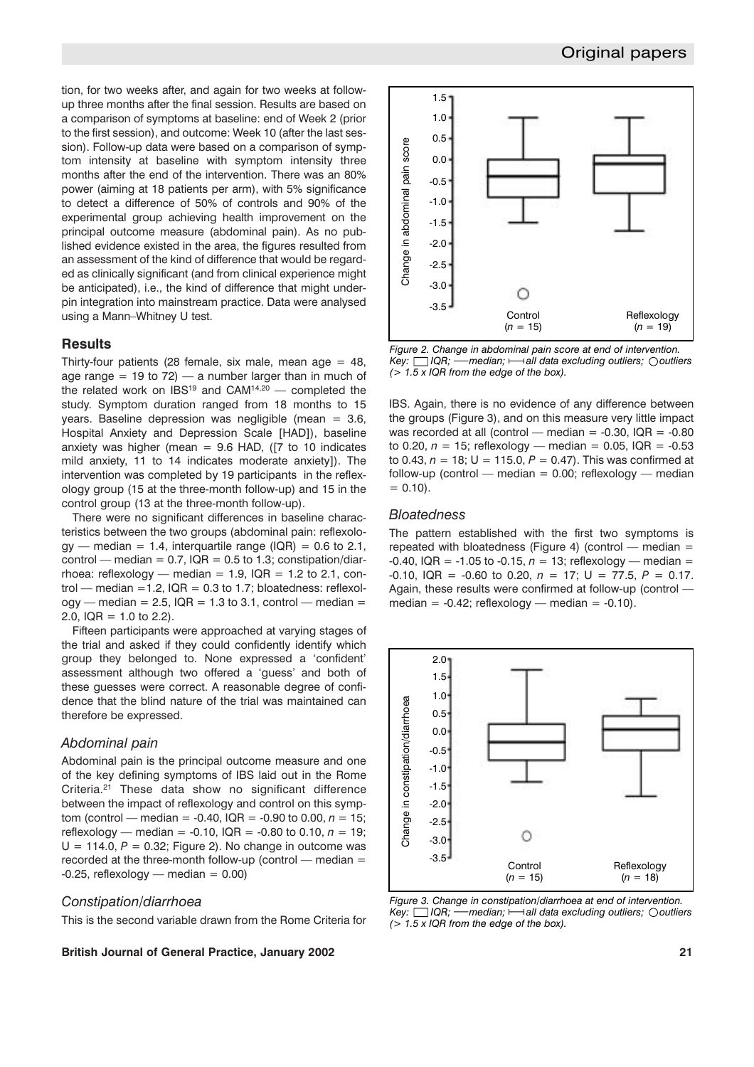tion, for two weeks after, and again for two weeks at followup three months after the final session. Results are based on a comparison of symptoms at baseline: end of Week 2 (prior to the first session), and outcome: Week 10 (after the last session). Follow-up data were based on a comparison of symptom intensity at baseline with symptom intensity three months after the end of the intervention. There was an 80% power (aiming at 18 patients per arm), with 5% significance to detect a difference of 50% of controls and 90% of the experimental group achieving health improvement on the principal outcome measure (abdominal pain). As no published evidence existed in the area, the figures resulted from an assessment of the kind of difference that would be regarded as clinically significant (and from clinical experience might be anticipated), i.e., the kind of difference that might underpin integration into mainstream practice. Data were analysed using a Mann–Whitney U test.

## **Results**

Thirty-four patients (28 female, six male, mean age  $= 48$ , age range  $= 19$  to 72) — a number larger than in much of the related work on  $IBS^{19}$  and  $CAM^{14,20}$  — completed the study. Symptom duration ranged from 18 months to 15 years. Baseline depression was negligible (mean  $= 3.6$ , Hospital Anxiety and Depression Scale [HAD]), baseline anxiety was higher (mean  $= 9.6$  HAD, ([7 to 10 indicates mild anxiety, 11 to 14 indicates moderate anxiety]). The intervention was completed by 19 participants in the reflexology group (15 at the three-month follow-up) and 15 in the control group (13 at the three-month follow-up).

There were no significant differences in baseline characteristics between the two groups (abdominal pain: reflexolo $gy$  — median = 1.4, interquartile range (IQR) = 0.6 to 2.1, control — median =  $0.7$ , IQR =  $0.5$  to 1.3; constipation/diarrhoea: reflexology — median =  $1.9$ , IQR =  $1.2$  to 2.1, control — median =1.2,  $IQR = 0.3$  to 1.7; bloatedness: reflexol $ogy$  — median = 2.5, IQR = 1.3 to 3.1, control — median = 2.0,  $IQR = 1.0$  to 2.2).

Fifteen participants were approached at varying stages of the trial and asked if they could confidently identify which group they belonged to. None expressed a 'confident' assessment although two offered a 'guess' and both of these guesses were correct. A reasonable degree of confidence that the blind nature of the trial was maintained can therefore be expressed.

## *Abdominal pain*

Abdominal pain is the principal outcome measure and one of the key defining symptoms of IBS laid out in the Rome Criteria.21 These data show no significant difference between the impact of reflexology and control on this symptom (control — median =  $-0.40$ , IQR =  $-0.90$  to 0.00,  $n = 15$ ; reflexology — median =  $-0.10$ ,  $IQR = -0.80$  to 0.10,  $n = 19$ ;  $U = 114.0$ ,  $P = 0.32$ ; Figure 2). No change in outcome was recorded at the three-month follow-up (control — median =  $-0.25$ , reflexology — median = 0.00)

## *Constipation/diarrhoea*

This is the second variable drawn from the Rome Criteria for

### **British Journal of General Practice, January 2002 21**



*Figure 2. Change in abdominal pain score at end of intervention. Key:*  $\Box$  IQR; — median;  $\rightarrow$  all data excluding outliers;  $\Diamond$  outliers *(> 1.5 x IQR from the edge of the box).*

IBS. Again, there is no evidence of any difference between the groups (Figure 3), and on this measure very little impact was recorded at all (control — median =  $-0.30$ , IQR =  $-0.80$ to 0.20,  $n = 15$ ; reflexology — median = 0.05, IQR = -0.53 to 0.43,  $n = 18$ ;  $U = 115.0$ ,  $P = 0.47$ ). This was confirmed at follow-up (control — median =  $0.00$ ; reflexology — median  $= 0.10$ ).

#### *Bloatedness*

The pattern established with the first two symptoms is repeated with bloatedness (Figure 4) (control  $-$  median =  $-0.40$ , IQR =  $-1.05$  to  $-0.15$ ,  $n = 13$ ; reflexology — median =  $-0.10$ , IQR =  $-0.60$  to 0.20,  $n = 17$ ; U = 77.5, P = 0.17. Again, these results were confirmed at follow-up (control median =  $-0.42$ ; reflexology — median =  $-0.10$ ).



*Figure 3. Change in constipation/diarrhoea at end of intervention. Key:*  $\Box$  IQR; — median;  $\rightarrow$  all data excluding outliers;  $\Diamond$  outliers *(> 1.5 x IQR from the edge of the box).*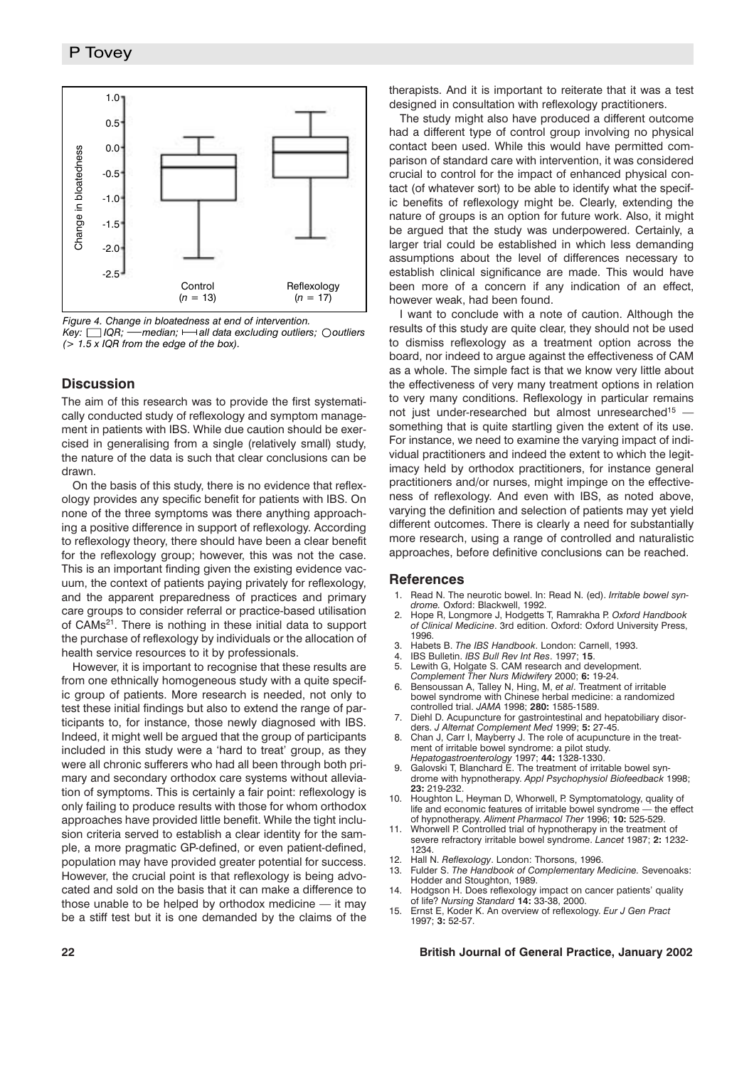

*Figure 4. Change in bloatedness at end of intervention.*

*Key:*  $\Box$  IQR; — median;  $\rightarrow$  all data excluding outliers;  $\Diamond$  outliers *(> 1.5 x IQR from the edge of the box).*

# **Discussion**

The aim of this research was to provide the first systematically conducted study of reflexology and symptom management in patients with IBS. While due caution should be exercised in generalising from a single (relatively small) study, the nature of the data is such that clear conclusions can be drawn.

On the basis of this study, there is no evidence that reflexology provides any specific benefit for patients with IBS. On none of the three symptoms was there anything approaching a positive difference in support of reflexology. According to reflexology theory, there should have been a clear benefit for the reflexology group; however, this was not the case. This is an important finding given the existing evidence vacuum, the context of patients paying privately for reflexology, and the apparent preparedness of practices and primary care groups to consider referral or practice-based utilisation of CAMs21. There is nothing in these initial data to support the purchase of reflexology by individuals or the allocation of health service resources to it by professionals.

However, it is important to recognise that these results are from one ethnically homogeneous study with a quite specific group of patients. More research is needed, not only to test these initial findings but also to extend the range of participants to, for instance, those newly diagnosed with IBS. Indeed, it might well be argued that the group of participants included in this study were a 'hard to treat' group, as they were all chronic sufferers who had all been through both primary and secondary orthodox care systems without alleviation of symptoms. This is certainly a fair point: reflexology is only failing to produce results with those for whom orthodox approaches have provided little benefit. While the tight inclusion criteria served to establish a clear identity for the sample, a more pragmatic GP-defined, or even patient-defined, population may have provided greater potential for success. However, the crucial point is that reflexology is being advocated and sold on the basis that it can make a difference to those unable to be helped by orthodox medicine  $-$  it may be a stiff test but it is one demanded by the claims of the therapists. And it is important to reiterate that it was a test designed in consultation with reflexology practitioners.

The study might also have produced a different outcome had a different type of control group involving no physical contact been used. While this would have permitted comparison of standard care with intervention, it was considered crucial to control for the impact of enhanced physical contact (of whatever sort) to be able to identify what the specific benefits of reflexology might be. Clearly, extending the nature of groups is an option for future work. Also, it might be argued that the study was underpowered. Certainly, a larger trial could be established in which less demanding assumptions about the level of differences necessary to establish clinical significance are made. This would have been more of a concern if any indication of an effect, however weak, had been found.

I want to conclude with a note of caution. Although the results of this study are quite clear, they should not be used to dismiss reflexology as a treatment option across the board, nor indeed to argue against the effectiveness of CAM as a whole. The simple fact is that we know very little about the effectiveness of very many treatment options in relation to very many conditions. Reflexology in particular remains not just under-researched but almost unresearched<sup>15</sup> something that is quite startling given the extent of its use. For instance, we need to examine the varying impact of individual practitioners and indeed the extent to which the legitimacy held by orthodox practitioners, for instance general practitioners and/or nurses, might impinge on the effectiveness of reflexology. And even with IBS, as noted above, varying the definition and selection of patients may yet yield different outcomes. There is clearly a need for substantially more research, using a range of controlled and naturalistic approaches, before definitive conclusions can be reached.

#### **References**

- Read N. The neurotic bowel. In: Read N. (ed). *Irritable bowel syndrome.* Oxford: Blackwell, 1992.
- 2. Hope R, Longmore J, Hodgetts T, Ramrakha P. *Oxford Handbook of Clinical Medicine*. 3rd edition. Oxford: Oxford University Press, 1996.
- 3. Habets B. *The IBS Handbook*. London: Carnell, 1993.
- 4. IBS Bulletin. *IBS Bull Rev Int Res*. 1997; **15**.
- 5. Lewith G, Holgate S. CAM research and development.
- *Complement Ther Nurs Midwifery* 2000; **6:** 19-24.
- 6. Bensoussan A, Talley N, Hing, M, *et al*. Treatment of irritable bowel syndrome with Chinese herbal medicine: a randomized controlled trial. *JAMA* 1998; **280:** 1585-1589.
- Diehl D. Acupuncture for gastrointestinal and hepatobiliary disorders. *J Alternat Complement Med* 1999; **5:** 27-45.
- 8. Chan J, Carr I, Mayberry J. The role of acupuncture in the treatment of irritable bowel syndrome: a pilot study. *Hepatogastroenterology* 1997; **44:** 1328-1330.
- 9. Galovski T, Blanchard E. The treatment of irritable bowel syndrome with hypnotherapy. *Appl Psychophysiol Biofeedback* 1998; **23:** 219-232.
- 10. Houghton L, Heyman D, Whorwell, P. Symptomatology, quality of life and economic features of irritable bowel syndrome the effect life and economic features of irritable bowel syndrome of hypnotherapy. *Aliment Pharmacol Ther* 1996; **10:** 525-529.
- 11. Whorwell P. Controlled trial of hypnotherapy in the treatment of severe refractory irritable bowel syndrome. *Lancet* 1987; **2:** 1232- 1234.
- 12. Hall N. *Reflexology*. London: Thorsons, 1996.
- 13. Fulder S. *The Handbook of Complementary Medicine.* Sevenoaks: Hodder and Stoughton, 1989.
- 14. Hodgson H. Does reflexology impact on cancer patients' quality of life? *Nursing Standard* **14:** 33-38, 2000.
- 15. Ernst E, Koder K. An overview of reflexology. *Eur J Gen Pract* 1997; **3:** 52-57.

### **22 British Journal of General Practice, January 2002**